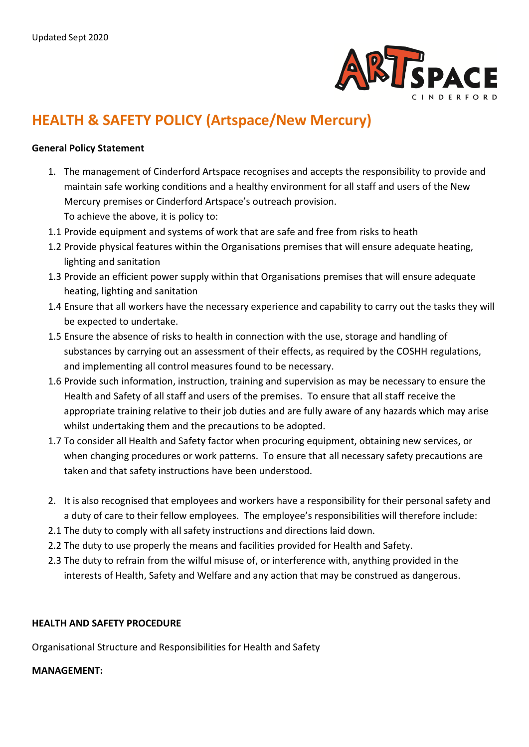

# **HEALTH & SAFETY POLICY (Artspace/New Mercury)**

#### **General Policy Statement**

- 1. The management of Cinderford Artspace recognises and accepts the responsibility to provide and maintain safe working conditions and a healthy environment for all staff and users of the New Mercury premises or Cinderford Artspace's outreach provision. To achieve the above, it is policy to:
- 1.1 Provide equipment and systems of work that are safe and free from risks to heath
- 1.2 Provide physical features within the Organisations premises that will ensure adequate heating, lighting and sanitation
- 1.3 Provide an efficient power supply within that Organisations premises that will ensure adequate heating, lighting and sanitation
- 1.4 Ensure that all workers have the necessary experience and capability to carry out the tasks they will be expected to undertake.
- 1.5 Ensure the absence of risks to health in connection with the use, storage and handling of substances by carrying out an assessment of their effects, as required by the COSHH regulations, and implementing all control measures found to be necessary.
- 1.6 Provide such information, instruction, training and supervision as may be necessary to ensure the Health and Safety of all staff and users of the premises. To ensure that all staff receive the appropriate training relative to their job duties and are fully aware of any hazards which may arise whilst undertaking them and the precautions to be adopted.
- 1.7 To consider all Health and Safety factor when procuring equipment, obtaining new services, or when changing procedures or work patterns. To ensure that all necessary safety precautions are taken and that safety instructions have been understood.
- 2. It is also recognised that employees and workers have a responsibility for their personal safety and a duty of care to their fellow employees. The employee's responsibilities will therefore include:
- 2.1 The duty to comply with all safety instructions and directions laid down.
- 2.2 The duty to use properly the means and facilities provided for Health and Safety.
- 2.3 The duty to refrain from the wilful misuse of, or interference with, anything provided in the interests of Health, Safety and Welfare and any action that may be construed as dangerous.

#### **HEALTH AND SAFETY PROCEDURE**

Organisational Structure and Responsibilities for Health and Safety

#### **MANAGEMENT:**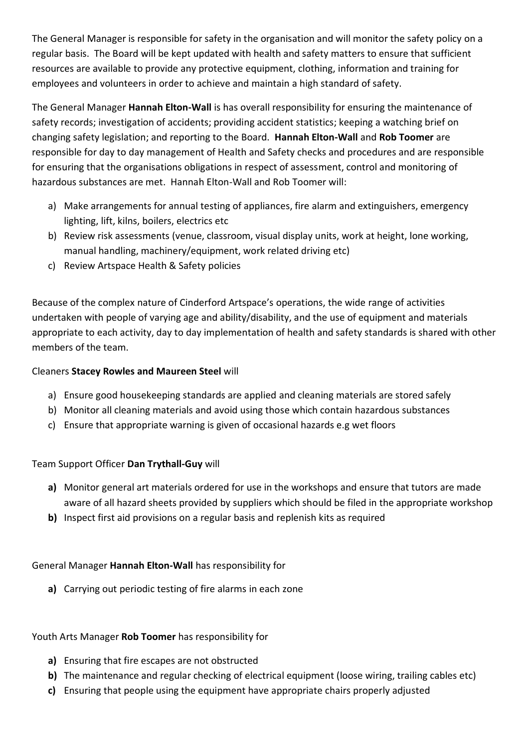The General Manager is responsible for safety in the organisation and will monitor the safety policy on a regular basis. The Board will be kept updated with health and safety matters to ensure that sufficient resources are available to provide any protective equipment, clothing, information and training for employees and volunteers in order to achieve and maintain a high standard of safety.

The General Manager **Hannah Elton-Wall** is has overall responsibility for ensuring the maintenance of safety records; investigation of accidents; providing accident statistics; keeping a watching brief on changing safety legislation; and reporting to the Board. **Hannah Elton-Wall** and **Rob Toomer** are responsible for day to day management of Health and Safety checks and procedures and are responsible for ensuring that the organisations obligations in respect of assessment, control and monitoring of hazardous substances are met. Hannah Elton-Wall and Rob Toomer will:

- a) Make arrangements for annual testing of appliances, fire alarm and extinguishers, emergency lighting, lift, kilns, boilers, electrics etc
- b) Review risk assessments (venue, classroom, visual display units, work at height, lone working, manual handling, machinery/equipment, work related driving etc)
- c) Review Artspace Health & Safety policies

Because of the complex nature of Cinderford Artspace's operations, the wide range of activities undertaken with people of varying age and ability/disability, and the use of equipment and materials appropriate to each activity, day to day implementation of health and safety standards is shared with other members of the team.

# Cleaners **Stacey Rowles and Maureen Steel** will

- a) Ensure good housekeeping standards are applied and cleaning materials are stored safely
- b) Monitor all cleaning materials and avoid using those which contain hazardous substances
- c) Ensure that appropriate warning is given of occasional hazards e.g wet floors

# Team Support Officer **Dan Trythall-Guy** will

- **a)** Monitor general art materials ordered for use in the workshops and ensure that tutors are made aware of all hazard sheets provided by suppliers which should be filed in the appropriate workshop
- **b)** Inspect first aid provisions on a regular basis and replenish kits as required

# General Manager **Hannah Elton-Wall** has responsibility for

**a)** Carrying out periodic testing of fire alarms in each zone

## Youth Arts Manager **Rob Toomer** has responsibility for

- **a)** Ensuring that fire escapes are not obstructed
- **b)** The maintenance and regular checking of electrical equipment (loose wiring, trailing cables etc)
- **c)** Ensuring that people using the equipment have appropriate chairs properly adjusted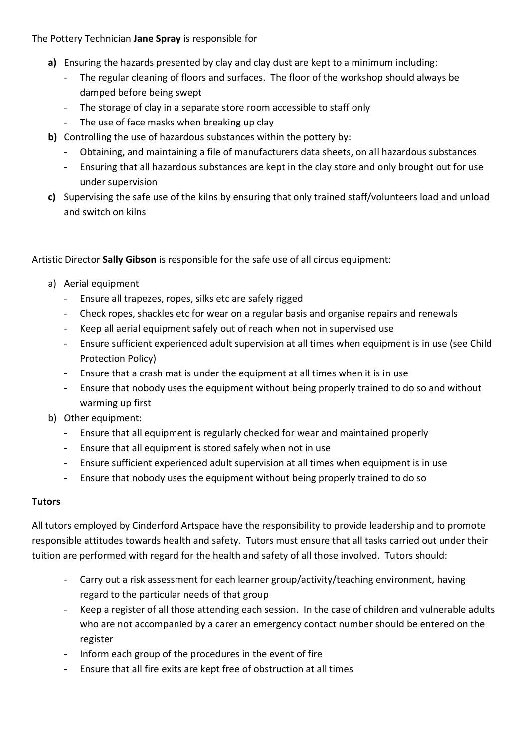The Pottery Technician **Jane Spray** is responsible for

- **a)** Ensuring the hazards presented by clay and clay dust are kept to a minimum including:
	- The regular cleaning of floors and surfaces. The floor of the workshop should always be damped before being swept
	- The storage of clay in a separate store room accessible to staff only
	- The use of face masks when breaking up clay
- **b)** Controlling the use of hazardous substances within the pottery by:
	- Obtaining, and maintaining a file of manufacturers data sheets, on all hazardous substances
	- Ensuring that all hazardous substances are kept in the clay store and only brought out for use under supervision
- **c)** Supervising the safe use of the kilns by ensuring that only trained staff/volunteers load and unload and switch on kilns

Artistic Director **Sally Gibson** is responsible for the safe use of all circus equipment:

- a) Aerial equipment
	- Ensure all trapezes, ropes, silks etc are safely rigged
	- Check ropes, shackles etc for wear on a regular basis and organise repairs and renewals
	- Keep all aerial equipment safely out of reach when not in supervised use
	- Ensure sufficient experienced adult supervision at all times when equipment is in use (see Child Protection Policy)
	- Ensure that a crash mat is under the equipment at all times when it is in use
	- Ensure that nobody uses the equipment without being properly trained to do so and without warming up first
- b) Other equipment:
	- Ensure that all equipment is regularly checked for wear and maintained properly
	- Ensure that all equipment is stored safely when not in use
	- Ensure sufficient experienced adult supervision at all times when equipment is in use
	- Ensure that nobody uses the equipment without being properly trained to do so

## **Tutors**

All tutors employed by Cinderford Artspace have the responsibility to provide leadership and to promote responsible attitudes towards health and safety. Tutors must ensure that all tasks carried out under their tuition are performed with regard for the health and safety of all those involved. Tutors should:

- Carry out a risk assessment for each learner group/activity/teaching environment, having regard to the particular needs of that group
- Keep a register of all those attending each session. In the case of children and vulnerable adults who are not accompanied by a carer an emergency contact number should be entered on the register
- Inform each group of the procedures in the event of fire
- Ensure that all fire exits are kept free of obstruction at all times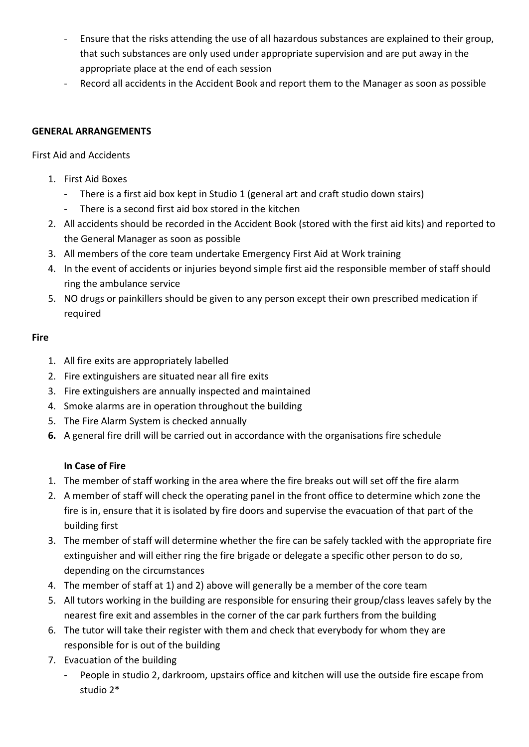- Ensure that the risks attending the use of all hazardous substances are explained to their group, that such substances are only used under appropriate supervision and are put away in the appropriate place at the end of each session
- Record all accidents in the Accident Book and report them to the Manager as soon as possible

# **GENERAL ARRANGEMENTS**

First Aid and Accidents

- 1. First Aid Boxes
	- There is a first aid box kept in Studio 1 (general art and craft studio down stairs)
	- There is a second first aid box stored in the kitchen
- 2. All accidents should be recorded in the Accident Book (stored with the first aid kits) and reported to the General Manager as soon as possible
- 3. All members of the core team undertake Emergency First Aid at Work training
- 4. In the event of accidents or injuries beyond simple first aid the responsible member of staff should ring the ambulance service
- 5. NO drugs or painkillers should be given to any person except their own prescribed medication if required

## **Fire**

- 1. All fire exits are appropriately labelled
- 2. Fire extinguishers are situated near all fire exits
- 3. Fire extinguishers are annually inspected and maintained
- 4. Smoke alarms are in operation throughout the building
- 5. The Fire Alarm System is checked annually
- **6.** A general fire drill will be carried out in accordance with the organisations fire schedule

# **In Case of Fire**

- 1. The member of staff working in the area where the fire breaks out will set off the fire alarm
- 2. A member of staff will check the operating panel in the front office to determine which zone the fire is in, ensure that it is isolated by fire doors and supervise the evacuation of that part of the building first
- 3. The member of staff will determine whether the fire can be safely tackled with the appropriate fire extinguisher and will either ring the fire brigade or delegate a specific other person to do so, depending on the circumstances
- 4. The member of staff at 1) and 2) above will generally be a member of the core team
- 5. All tutors working in the building are responsible for ensuring their group/class leaves safely by the nearest fire exit and assembles in the corner of the car park furthers from the building
- 6. The tutor will take their register with them and check that everybody for whom they are responsible for is out of the building
- 7. Evacuation of the building
	- People in studio 2, darkroom, upstairs office and kitchen will use the outside fire escape from studio 2\*